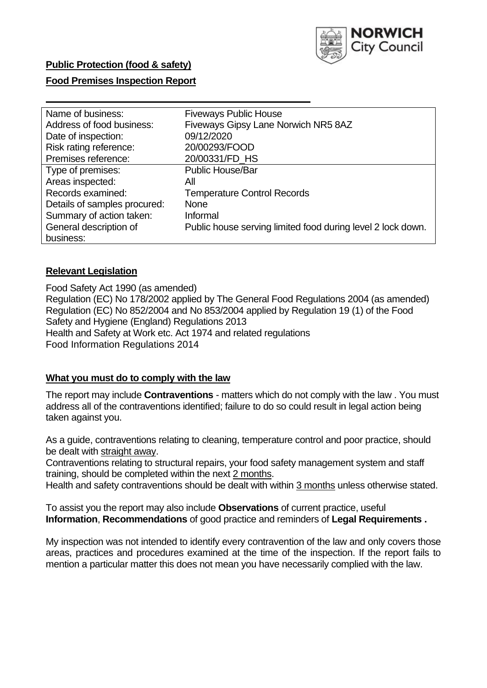

### **Public Protection (food & safety)**

### **Food Premises Inspection Report**

| Name of business:            | <b>Fiveways Public House</b>                                |
|------------------------------|-------------------------------------------------------------|
| Address of food business:    | Fiveways Gipsy Lane Norwich NR5 8AZ                         |
| Date of inspection:          | 09/12/2020                                                  |
| Risk rating reference:       | 20/00293/FOOD                                               |
| Premises reference:          | 20/00331/FD HS                                              |
| Type of premises:            | <b>Public House/Bar</b>                                     |
| Areas inspected:             | All                                                         |
| Records examined:            | <b>Temperature Control Records</b>                          |
| Details of samples procured: | <b>None</b>                                                 |
| Summary of action taken:     | Informal                                                    |
| General description of       | Public house serving limited food during level 2 lock down. |
| business:                    |                                                             |

#### **Relevant Legislation**

 Food Safety Act 1990 (as amended) Regulation (EC) No 178/2002 applied by The General Food Regulations 2004 (as amended) Regulation (EC) No 852/2004 and No 853/2004 applied by Regulation 19 (1) of the Food Safety and Hygiene (England) Regulations 2013 Health and Safety at Work etc. Act 1974 and related regulations Food Information Regulations 2014

#### **What you must do to comply with the law**

 The report may include **Contraventions** - matters which do not comply with the law . You must address all of the contraventions identified; failure to do so could result in legal action being taken against you.

 As a guide, contraventions relating to cleaning, temperature control and poor practice, should be dealt with straight away.

 Contraventions relating to structural repairs, your food safety management system and staff training, should be completed within the next 2 months.

Health and safety contraventions should be dealt with within 3 months unless otherwise stated.

 To assist you the report may also include **Observations** of current practice, useful **Information**, **Recommendations** of good practice and reminders of **Legal Requirements .** 

 My inspection was not intended to identify every contravention of the law and only covers those areas, practices and procedures examined at the time of the inspection. If the report fails to mention a particular matter this does not mean you have necessarily complied with the law.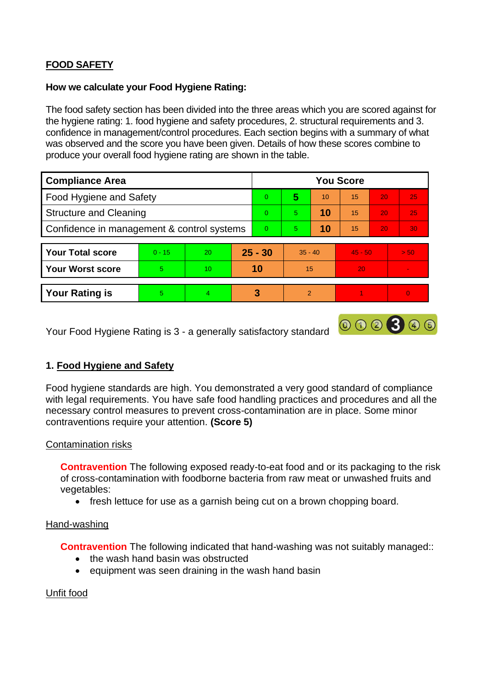# **FOOD SAFETY**

### **How we calculate your Food Hygiene Rating:**

 The food safety section has been divided into the three areas which you are scored against for the hygiene rating: 1. food hygiene and safety procedures, 2. structural requirements and 3. confidence in management/control procedures. Each section begins with a summary of what was observed and the score you have been given. Details of how these scores combine to produce your overall food hygiene rating are shown in the table.

| <b>Compliance Area</b>                     |          |    |           | <b>You Score</b> |                |    |           |    |      |  |  |
|--------------------------------------------|----------|----|-----------|------------------|----------------|----|-----------|----|------|--|--|
| <b>Food Hygiene and Safety</b>             |          |    |           | $\Omega$         | 5              | 10 | 15        | 20 | 25   |  |  |
| <b>Structure and Cleaning</b>              |          |    | $\Omega$  | 5                | 10             | 15 | 20        | 25 |      |  |  |
| Confidence in management & control systems |          |    | $\Omega$  | 5                | 10             | 15 | 20        | 30 |      |  |  |
|                                            |          |    |           |                  |                |    |           |    |      |  |  |
| <b>Your Total score</b>                    | $0 - 15$ | 20 | $25 - 30$ |                  | $35 - 40$      |    | $45 - 50$ |    | > 50 |  |  |
| <b>Your Worst score</b>                    | 5        | 10 | 10        |                  | 15             |    | 20        |    | v.   |  |  |
|                                            |          |    |           |                  |                |    |           |    |      |  |  |
| <b>Your Rating is</b>                      | 5        | 4  |           | 3                | $\overline{2}$ |    |           |    |      |  |  |

Your Food Hygiene Rating is 3 - a generally satisfactory standard

# **1. Food Hygiene and Safety**

 with legal requirements. You have safe food handling practices and procedures and all the Food hygiene standards are high. You demonstrated a very good standard of compliance necessary control measures to prevent cross-contamination are in place. Some minor contraventions require your attention. **(Score 5)** 

000300

### Contamination risks

**Contravention** The following exposed ready-to-eat food and or its packaging to the risk of cross-contamination with foodborne bacteria from raw meat or unwashed fruits and vegetables:

• fresh lettuce for use as a garnish being cut on a brown chopping board.

### Hand-washing

**Contravention** The following indicated that hand-washing was not suitably managed::

- the wash hand basin was obstructed
- equipment was seen draining in the wash hand basin

### Unfit food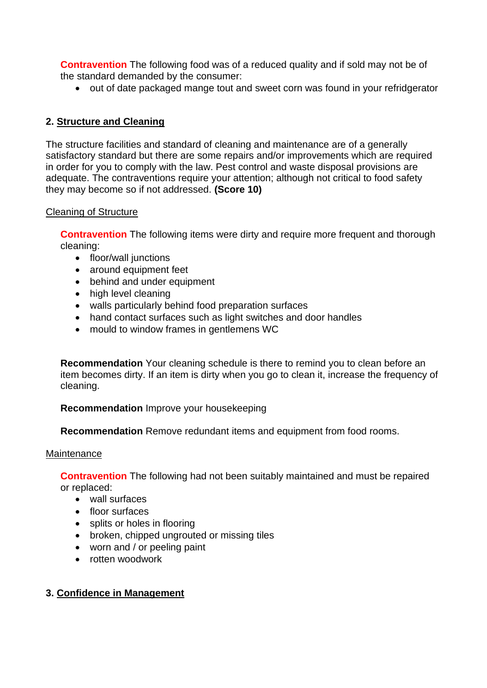**Contravention** The following food was of a reduced quality and if sold may not be of the standard demanded by the consumer:

• out of date packaged mange tout and sweet corn was found in your refridgerator

# **2. Structure and Cleaning**

The structure facilities and standard of cleaning and maintenance are of a generally satisfactory standard but there are some repairs and/or improvements which are required in order for you to comply with the law. Pest control and waste disposal provisions are adequate. The contraventions require your attention: although not critical to food safety they may become so if not addressed. **(Score 10)** 

### Cleaning of Structure

**Contravention** The following items were dirty and require more frequent and thorough cleaning:

- floor/wall junctions
- around equipment feet
- behind and under equipment
- high level cleaning
- walls particularly behind food preparation surfaces
- hand contact surfaces such as light switches and door handles
- mould to window frames in gentlemens WC

 **Recommendation** Your cleaning schedule is there to remind you to clean before an item becomes dirty. If an item is dirty when you go to clean it, increase the frequency of cleaning.

# **Recommendation** Improve your housekeeping

**Recommendation** Remove redundant items and equipment from food rooms.

### Maintenance

**Contravention** The following had not been suitably maintained and must be repaired or replaced:

- wall surfaces
- floor surfaces
- splits or holes in flooring
- broken, chipped ungrouted or missing tiles
- worn and / or peeling paint
- rotten woodwork

# **3. Confidence in Management**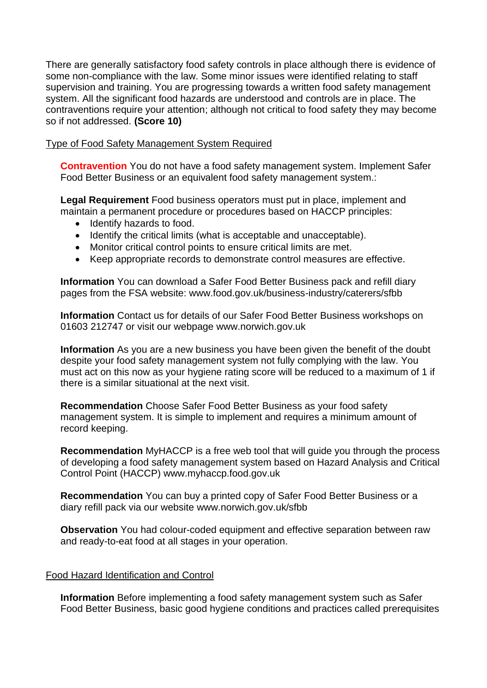There are generally satisfactory food safety controls in place although there is evidence of system. All the significant food hazards are understood and controls are in place. The some non-compliance with the law. Some minor issues were identified relating to staff supervision and training. You are progressing towards a written food safety management contraventions require your attention; although not critical to food safety they may become so if not addressed. **(Score 10)** 

### Type of Food Safety Management System Required

**Contravention** You do not have a food safety management system. Implement Safer Food Better Business or an equivalent food safety management system.:

 maintain a permanent procedure or procedures based on HACCP principles: **Legal Requirement** Food business operators must put in place, implement and

- Identify hazards to food.
- Identify the critical limits (what is acceptable and unacceptable).
- Monitor critical control points to ensure critical limits are met.
- Keep appropriate records to demonstrate control measures are effective.

**Information** You can download a Safer Food Better Business pack and refill diary pages from the FSA website:<www.food.gov.uk/business-industry/caterers/sfbb>

**Information** Contact us for details of our Safer Food Better Business workshops on 01603 212747 or visit our webpage <www.norwich.gov.uk>

 **Information** As you are a new business you have been given the benefit of the doubt there is a similar situational at the next visit. despite your food safety management system not fully complying with the law. You must act on this now as your hygiene rating score will be reduced to a maximum of 1 if

**Recommendation** Choose Safer Food Better Business as your food safety management system. It is simple to implement and requires a minimum amount of record keeping.

**Recommendation** MyHACCP is a free web tool that will guide you through the process of developing a food safety management system based on Hazard Analysis and Critical Control Point (HACCP)<www.myhaccp.food.gov.uk>

**Recommendation** You can buy a printed copy of Safer Food Better Business or a diary refill pack via our website <www.norwich.gov.uk/sfbb>

**Observation** You had colour-coded equipment and effective separation between raw and ready-to-eat food at all stages in your operation.

#### Food Hazard Identification and Control

**Information** Before implementing a food safety management system such as Safer Food Better Business, basic good hygiene conditions and practices called prerequisites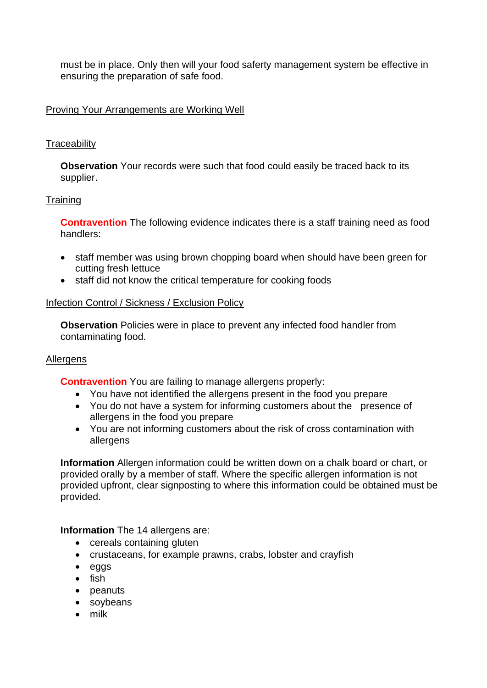must be in place. Only then will your food saferty management system be effective in ensuring the preparation of safe food.

### Proving Your Arrangements are Working Well

### **Traceability**

**Observation** Your records were such that food could easily be traced back to its supplier.

### **Training**

 **Contravention** The following evidence indicates there is a staff training need as food handlers:

- • staff member was using brown chopping board when should have been green for cutting fresh lettuce
- staff did not know the critical temperature for cooking foods

### Infection Control / Sickness / Exclusion Policy

**Observation** Policies were in place to prevent any infected food handler from contaminating food.

### **Allergens**

**Contravention** You are failing to manage allergens properly:

- You have not identified the allergens present in the food you prepare
- You do not have a system for informing customers about the presence of allergens in the food you prepare
- You are not informing customers about the risk of cross contamination with allergens

 **Information** Allergen information could be written down on a chalk board or chart, or provided upfront, clear signposting to where this information could be obtained must be provided orally by a member of staff. Where the specific allergen information is not provided.

**Information** The 14 allergens are:

- cereals containing gluten
- crustaceans, for example prawns, crabs, lobster and crayfish
- eggs
- fish
- peanuts
- soybeans
- milk